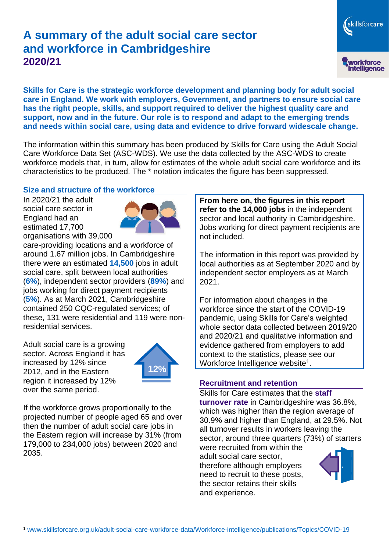# **A summary of the adult social care sector and workforce in Cambridgeshire 2020/21**

skillsforcare workforce<br>intelligence

**Skills for Care is the strategic workforce development and planning body for adult social care in England. We work with employers, Government, and partners to ensure social care has the right people, skills, and support required to deliver the highest quality care and support, now and in the future. Our role is to respond and adapt to the emerging trends and needs within social care, using data and evidence to drive forward widescale change.**

The information within this summary has been produced by Skills for Care using the Adult Social Care Workforce Data Set (ASC-WDS). We use the data collected by the ASC-WDS to create workforce models that, in turn, allow for estimates of the whole adult social care workforce and its characteristics to be produced. The \* notation indicates the figure has been suppressed.

#### **Size and structure of the workforce**

In 2020/21 the adult social care sector in England had an estimated 17,700 organisations with 39,000



care-providing locations and a workforce of around 1.67 million jobs. In Cambridgeshire there were an estimated **14,500** jobs in adult social care, split between local authorities (**6%**), independent sector providers (**89%**) and jobs working for direct payment recipients (**5%**). As at March 2021, Cambridgeshire contained 250 CQC-regulated services; of these, 131 were residential and 119 were nonresidential services.

Adult social care is a growing sector. Across England it has increased by 12% since 2012, and in the Eastern region it increased by 12% over the same period.



If the workforce grows proportionally to the projected number of people aged 65 and over then the number of adult social care jobs in the Eastern region will increase by 31% (from 179,000 to 234,000 jobs) between 2020 and 2035.

**From here on, the figures in this report refer to the 14,000 jobs** in the independent sector and local authority in Cambridgeshire. Jobs working for direct payment recipients are not included.

The information in this report was provided by local authorities as at September 2020 and by independent sector employers as at March 2021.

For information about changes in the workforce since the start of the COVID-19 pandemic, using Skills for Care's weighted whole sector data collected between 2019/20 and 2020/21 and qualitative information and evidence gathered from employers to add context to the statistics, please see our Workforce Intelligence website<sup>1</sup>.

### **Recruitment and retention**

Skills for Care estimates that the **staff turnover rate** in Cambridgeshire was 36.8%, which was higher than the region average of 30.9% and higher than England, at 29.5%. Not all turnover results in workers leaving the sector, around three quarters (73%) of starters

were recruited from within the adult social care sector, therefore although employers need to recruit to these posts, the sector retains their skills and experience.

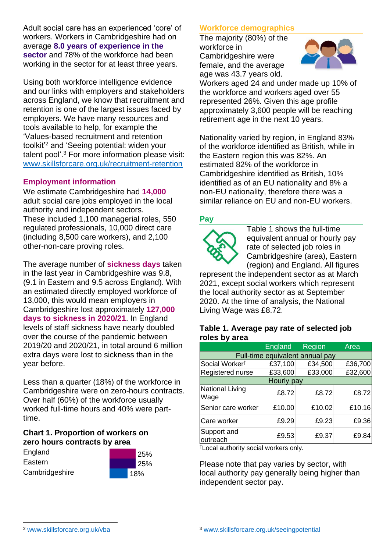Adult social care has an experienced 'core' of workers. Workers in Cambridgeshire had on average **8.0 years of experience in the sector** and 78% of the workforce had been working in the sector for at least three years.

Using both workforce intelligence evidence and our links with employers and stakeholders across England, we know that recruitment and retention is one of the largest issues faced by employers. We have many resources and tools available to help, for example the 'Values-based recruitment and retention toolkit'<sup>2</sup> and 'Seeing potential: widen your talent pool'. <sup>3</sup> For more information please visit: [www.skillsforcare.org.uk/recruitment-retention](http://www.skillsforcare.org.uk/recruitment-retention)

#### **Employment information**

We estimate Cambridgeshire had **14,000** adult social care jobs employed in the local authority and independent sectors. These included 1,100 managerial roles, 550 regulated professionals, 10,000 direct care (including 8,500 care workers), and 2,100 other-non-care proving roles.

The average number of **sickness days** taken in the last year in Cambridgeshire was 9.8, (9.1 in Eastern and 9.5 across England). With an estimated directly employed workforce of 13,000, this would mean employers in Cambridgeshire lost approximately **127,000 days to sickness in 2020/21**. In England levels of staff sickness have nearly doubled over the course of the pandemic between 2019/20 and 2020/21, in total around 6 million extra days were lost to sickness than in the year before.

Less than a quarter (18%) of the workforce in Cambridgeshire were on zero-hours contracts. Over half (60%) of the workforce usually worked full-time hours and 40% were parttime.

#### **Chart 1. Proportion of workers on zero hours contracts by area**

| England        |  |
|----------------|--|
| Eastern        |  |
| Cambridgeshire |  |



### **Workforce demographics**

The majority (80%) of the workforce in Cambridgeshire were female, and the average age was 43.7 years old.



Workers aged 24 and under made up 10% of the workforce and workers aged over 55 represented 26%. Given this age profile approximately 3,600 people will be reaching retirement age in the next 10 years.

Nationality varied by region, in England 83% of the workforce identified as British, while in the Eastern region this was 82%. An estimated 82% of the workforce in Cambridgeshire identified as British, 10% identified as of an EU nationality and 8% a non-EU nationality, therefore there was a similar reliance on EU and non-EU workers.

### **Pay**



Table 1 shows the full-time equivalent annual or hourly pay rate of selected job roles in Cambridgeshire (area), Eastern (region) and England. All figures

represent the independent sector as at March 2021, except social workers which represent the local authority sector as at September 2020. At the time of analysis, the National Living Wage was £8.72.

#### **Table 1. Average pay rate of selected job roles by area**

|                                 | <b>England</b> | Region  | Area    |
|---------------------------------|----------------|---------|---------|
| Full-time equivalent annual pay |                |         |         |
| Social Worker <sup>t</sup>      | £37,100        | £34,500 | £36,700 |
| Registered nurse                | £33,600        | £33,000 | £32,600 |
| Hourly pay                      |                |         |         |
| National Living<br>Wage         | £8.72          | £8.72   | £8.72   |
| Senior care worker              | £10.00         | £10.02  | £10.16  |
| Care worker                     | £9.29          | £9.23   | £9.36   |
| Support and<br>outreach         | £9.53          | £9.37   | £9.84   |

†Local authority social workers only.

Please note that pay varies by sector, with local authority pay generally being higher than independent sector pay.

[www.skillsforcare.org.uk/vba](http://www.skillsforcare.org.uk/vba)